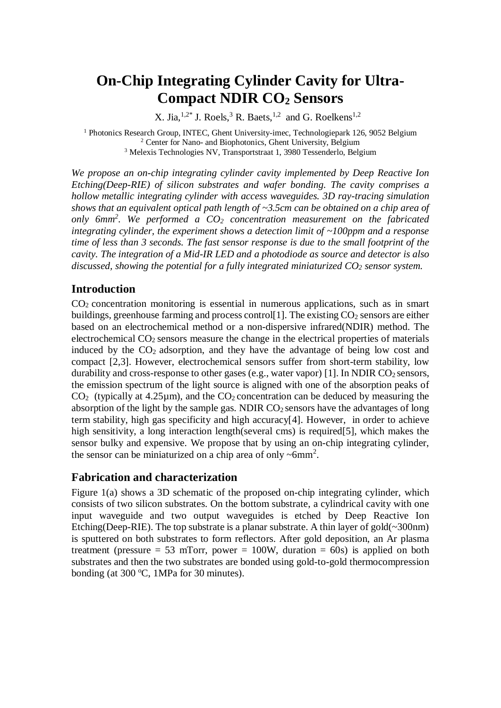# **On-Chip Integrating Cylinder Cavity for Ultra-Compact NDIR CO<sup>2</sup> Sensors**

X. Jia,  $^{1,2*}$  J. Roels, <sup>3</sup> R. Baets, <sup>1,2</sup> and G. Roelkens<sup>1,2</sup>

<sup>1</sup> Photonics Research Group, INTEC, Ghent University-imec, Technologiepark 126, 9052 Belgium <sup>2</sup> Center for Nano- and Biophotonics, Ghent University, Belgium <sup>3</sup> Melexis Technologies NV, Transportstraat 1, 3980 Tessenderlo, Belgium

*We propose an on-chip integrating cylinder cavity implemented by Deep Reactive Ion Etching(Deep-RIE) of silicon substrates and wafer bonding. The cavity comprises a hollow metallic integrating cylinder with access waveguides. 3D ray-tracing simulation shows that an equivalent optical path length of ~3.5cm can be obtained on a chip area of only 6mm<sup>2</sup> . We performed a CO<sup>2</sup> concentration measurement on the fabricated integrating cylinder, the experiment shows a detection limit of ~100ppm and a response time of less than 3 seconds. The fast sensor response is due to the small footprint of the cavity. The integration of a Mid-IR LED and a photodiode as source and detector is also discussed, showing the potential for a fully integrated miniaturized CO<sup>2</sup> sensor system.*

# **Introduction**

 $CO<sub>2</sub> concentration monitoring is essential in numerous applications, such as in smart$ buildings, greenhouse farming and process control [1]. The existing  $CO<sub>2</sub>$  sensors are either based on an electrochemical method or a non-dispersive infrared(NDIR) method. The electrochemical  $CO<sub>2</sub>$  sensors measure the change in the electrical properties of materials induced by the  $CO<sub>2</sub>$  adsorption, and they have the advantage of being low cost and compact [2,3]. However, electrochemical sensors suffer from short-term stability, low durability and cross-response to other gases (e.g., water vapor) [1]. In NDIR  $CO<sub>2</sub>$  sensors, the emission spectrum of the light source is aligned with one of the absorption peaks of  $CO<sub>2</sub>$  (typically at 4.25µm), and the  $CO<sub>2</sub>$  concentration can be deduced by measuring the absorption of the light by the sample gas. NDIR  $CO<sub>2</sub>$  sensors have the advantages of long term stability, high gas specificity and high accuracy[4]. However, in order to achieve high sensitivity, a long interaction length(several cms) is required[5], which makes the sensor bulky and expensive. We propose that by using an on-chip integrating cylinder, the sensor can be miniaturized on a chip area of only  $\sim$ 6mm<sup>2</sup>.

## **Fabrication and characterization**

Figure 1(a) shows a 3D schematic of the proposed on-chip integrating cylinder, which consists of two silicon substrates. On the bottom substrate, a cylindrical cavity with one input waveguide and two output waveguides is etched by Deep Reactive Ion Etching(Deep-RIE). The top substrate is a planar substrate. A thin layer of gold( $\sim$ 300nm) is sputtered on both substrates to form reflectors. After gold deposition, an Ar plasma treatment (pressure  $= 53$  mTorr, power  $= 100W$ , duration  $= 60s$ ) is applied on both substrates and then the two substrates are bonded using gold-to-gold thermocompression bonding (at  $300 \degree C$ , 1MPa for 30 minutes).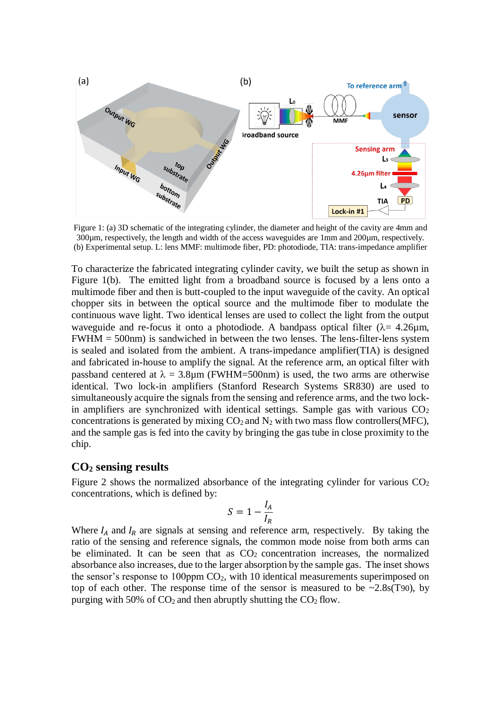

Figure 1: (a) 3D schematic of the integrating cylinder, the diameter and height of the cavity are 4mm and 300µm, respectively, the length and width of the access waveguides are 1mm and 200µm, respectively. (b) Experimental setup. L: lens MMF: multimode fiber, PD: photodiode, TIA: trans-impedance amplifier

To characterize the fabricated integrating cylinder cavity, we built the setup as shown in Figure 1(b). The emitted light from a broadband source is focused by a lens onto a multimode fiber and then is butt-coupled to the input waveguide of the cavity. An optical chopper sits in between the optical source and the multimode fiber to modulate the continuous wave light. Two identical lenses are used to collect the light from the output waveguide and re-focus it onto a photodiode. A bandpass optical filter  $(\lambda = 4.26 \mu m,$  $FWHM = 500nm$ ) is sandwiched in between the two lenses. The lens-filter-lens system is sealed and isolated from the ambient. A trans-impedance amplifier(TIA) is designed and fabricated in-house to amplify the signal. At the reference arm, an optical filter with passband centered at  $\lambda = 3.8$ um (FWHM=500nm) is used, the two arms are otherwise identical. Two lock-in amplifiers (Stanford Research Systems SR830) are used to simultaneously acquire the signals from the sensing and reference arms, and the two lockin amplifiers are synchronized with identical settings. Sample gas with various  $CO<sub>2</sub>$ concentrations is generated by mixing  $CO<sub>2</sub>$  and  $N<sub>2</sub>$  with two mass flow controllers(MFC), and the sample gas is fed into the cavity by bringing the gas tube in close proximity to the chip.

#### **CO<sup>2</sup> sensing results**

Figure 2 shows the normalized absorbance of the integrating cylinder for various  $CO<sub>2</sub>$ concentrations, which is defined by:

$$
S = 1 - \frac{I_A}{I_R}
$$

Where  $I_A$  and  $I_R$  are signals at sensing and reference arm, respectively. By taking the ratio of the sensing and reference signals, the common mode noise from both arms can be eliminated. It can be seen that as  $CO<sub>2</sub>$  concentration increases, the normalized absorbance also increases, due to the larger absorption by the sample gas. The inset shows the sensor's response to  $100$ ppm  $CO<sub>2</sub>$ , with 10 identical measurements superimposed on top of each other. The response time of the sensor is measured to be  $\sim 2.8$ s(T90), by purging with 50% of  $CO<sub>2</sub>$  and then abruptly shutting the  $CO<sub>2</sub>$  flow.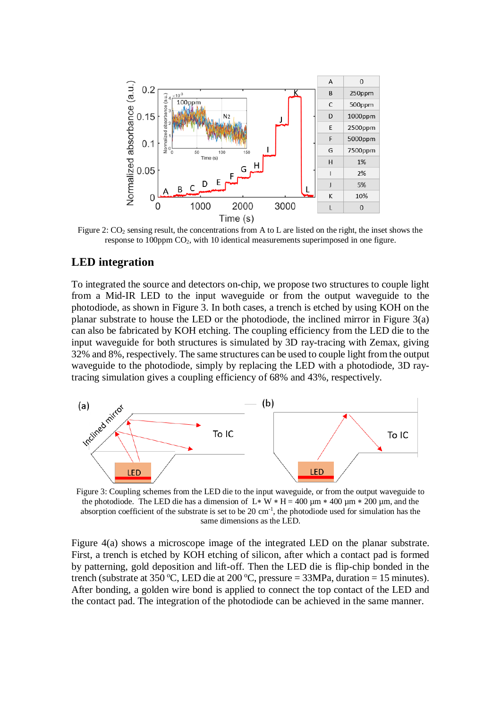

Figure 2:  $CO_2$  sensing result, the concentrations from A to L are listed on the right, the inset shows the response to 100ppm  $CO<sub>2</sub>$ , with 10 identical measurements superimposed in one figure.

### **LED integration**

To integrated the source and detectors on-chip, we propose two structures to couple light from a Mid-IR LED to the input waveguide or from the output waveguide to the photodiode, as shown in Figure 3. In both cases, a trench is etched by using KOH on the planar substrate to house the LED or the photodiode, the inclined mirror in Figure 3(a) can also be fabricated by KOH etching. The coupling efficiency from the LED die to the input waveguide for both structures is simulated by 3D ray-tracing with Zemax, giving 32% and 8%, respectively. The same structures can be used to couple light from the output waveguide to the photodiode, simply by replacing the LED with a photodiode, 3D raytracing simulation gives a coupling efficiency of 68% and 43%, respectively.



Figure 3: Coupling schemes from the LED die to the input waveguide, or from the output waveguide to the photodiode. The LED die has a dimension of L  $\cdot$  W  $\cdot$  H = 400 µm  $\cdot$  400 µm  $\cdot$  200 µm, and the absorption coefficient of the substrate is set to be 20 cm<sup>-1</sup>, the photodiode used for simulation has the same dimensions as the LED.

Figure 4(a) shows a microscope image of the integrated LED on the planar substrate. First, a trench is etched by KOH etching of silicon, after which a contact pad is formed by patterning, gold deposition and lift-off. Then the LED die is flip-chip bonded in the trench (substrate at 350 °C, LED die at 200 °C, pressure = 33MPa, duration = 15 minutes). After bonding, a golden wire bond is applied to connect the top contact of the LED and the contact pad. The integration of the photodiode can be achieved in the same manner.